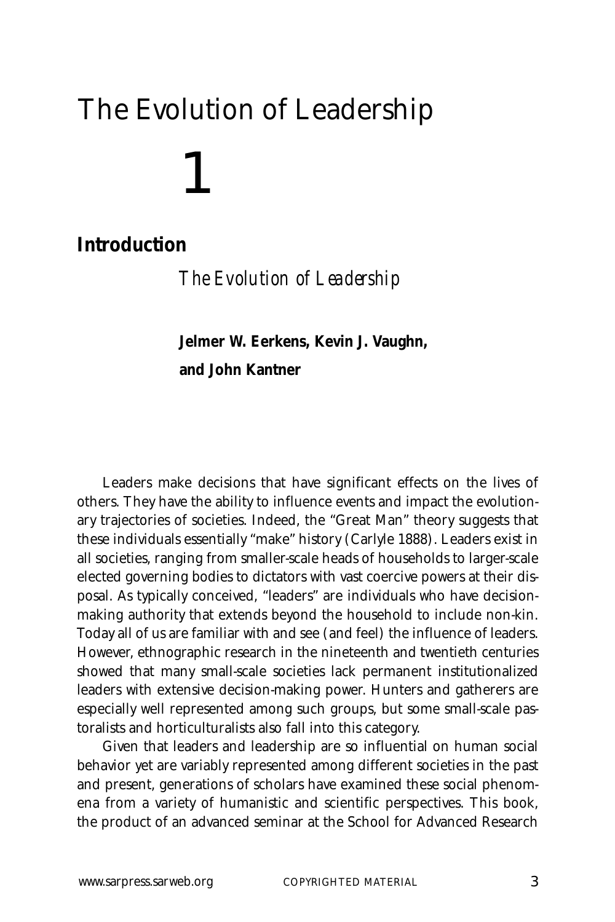# 1 The Evolution of Leadership

# **Introduction**

*The Evolution of Leadership*

**Jelmer W. Eerkens, Kevin J. Vaughn, and John Kantner**

Leaders make decisions that have significant effects on the lives of others. They have the ability to influence events and impact the evolutionary trajectories of societies. Indeed, the "Great Man" theory suggests that these individuals essentially "make" history (Carlyle 1888). Leaders exist in all societies, ranging from smaller-scale heads of households to larger-scale elected governing bodies to dictators with vast coercive powers at their disposal. As typically conceived, "leaders" are individuals who have decisionmaking authority that extends beyond the household to include non-kin. Today all of us are familiar with and see (and feel) the influence of leaders. However, ethnographic research in the nineteenth and twentieth centuries showed that many small-scale societies lack permanent institutionalized leaders with extensive decision-making power. Hunters and gatherers are especially well represented among such groups, but some small-scale pastoralists and horticulturalists also fall into this category.

Given that leaders and leadership are so influential on human social behavior yet are variably represented among different societies in the past and present, generations of scholars have examined these social phenomena from a variety of humanistic and scientific perspectives. This book, the product of an advanced seminar at the School for Advanced Research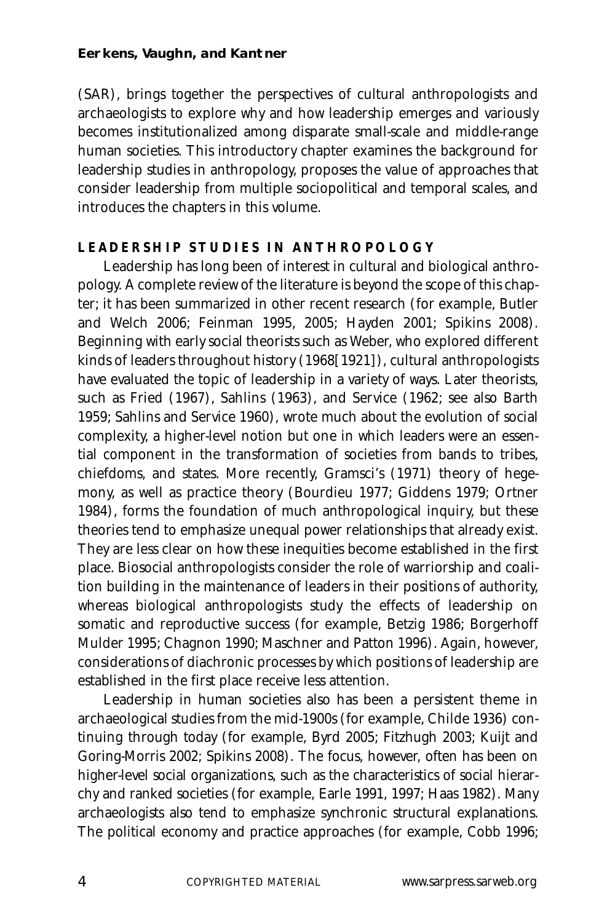(SAR), brings together the perspectives of cultural anthropologists and archaeologists to explore why and how leadership emerges and variously becomes institutionalized among disparate small-scale and middle-range human societies. This introductory chapter examines the background for leadership studies in anthropology, proposes the value of approaches that consider leadership from multiple sociopolitical and temporal scales, and introduces the chapters in this volume.

#### **LEADERSHIP STUDIES IN ANTHROPOLOGY**

Leadership has long been of interest in cultural and biological anthropology. A complete review of the literature is beyond the scope of this chapter; it has been summarized in other recent research (for example, Butler and Welch 2006; Feinman 1995, 2005; Hayden 2001; Spikins 2008). Beginning with early social theorists such as Weber, who explored different kinds of leaders throughout history (1968[1921]), cultural anthropologists have evaluated the topic of leadership in a variety of ways. Later theorists, such as Fried (1967), Sahlins (1963), and Service (1962; see also Barth 1959; Sahlins and Service 1960), wrote much about the evolution of social complexity, a higher-level notion but one in which leaders were an essential component in the transformation of societies from bands to tribes, chiefdoms, and states. More recently, Gramsci's (1971) theory of hegemony, as well as practice theory (Bourdieu 1977; Giddens 1979; Ortner 1984), forms the foundation of much anthropological inquiry, but these theories tend to emphasize unequal power relationships that already exist. They are less clear on how these inequities become established in the first place. Biosocial anthropologists consider the role of warriorship and coalition building in the maintenance of leaders in their positions of authority, whereas biological anthropologists study the effects of leadership on somatic and reproductive success (for example, Betzig 1986; Borgerhoff Mulder 1995; Chagnon 1990; Maschner and Patton 1996). Again, however, considerations of diachronic processes by which positions of leadership are established in the first place receive less attention.

Leadership in human societies also has been a persistent theme in archaeological studies from the mid-1900s (for example, Childe 1936) continuing through today (for example, Byrd 2005; Fitzhugh 2003; Kuijt and Goring-Morris 2002; Spikins 2008). The focus, however, often has been on higher-level social organizations, such as the characteristics of social hierarchy and ranked societies (for example, Earle 1991, 1997; Haas 1982). Many archaeologists also tend to emphasize synchronic structural explanations. The political economy and practice approaches (for example, Cobb 1996;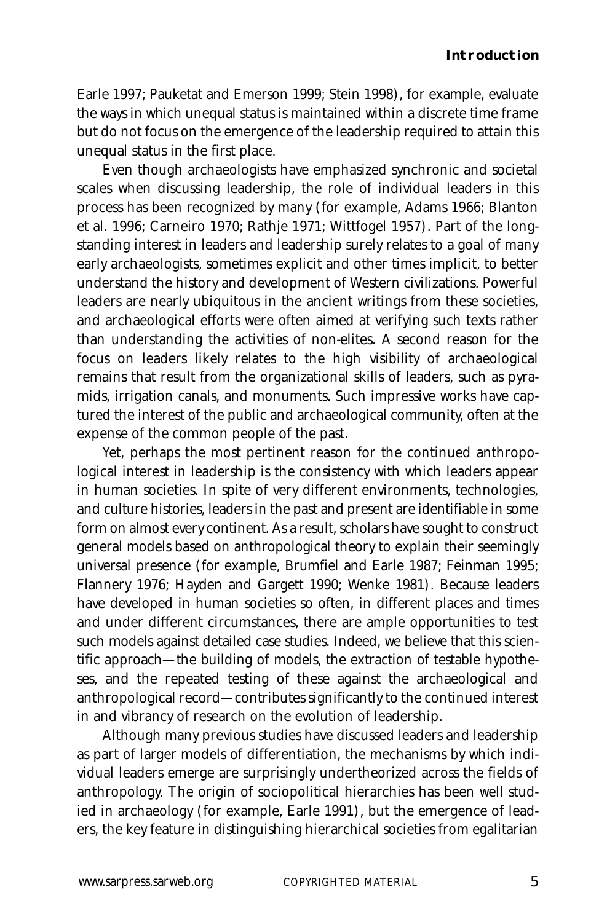#### **Introduction**

Earle 1997; Pauketat and Emerson 1999; Stein 1998), for example, evaluate the ways in which unequal status is maintained within a discrete time frame but do not focus on the emergence of the leadership required to attain this unequal status in the first place.

Even though archaeologists have emphasized synchronic and societal scales when discussing leadership, the role of individual leaders in this process has been recognized by many (for example, Adams 1966; Blanton et al. 1996; Carneiro 1970; Rathje 1971; Wittfogel 1957). Part of the longstanding interest in leaders and leadership surely relates to a goal of many early archaeologists, sometimes explicit and other times implicit, to better understand the history and development of Western civilizations. Powerful leaders are nearly ubiquitous in the ancient writings from these societies, and archaeological efforts were often aimed at verifying such texts rather than understanding the activities of non-elites. A second reason for the focus on leaders likely relates to the high visibility of archaeological remains that result from the organizational skills of leaders, such as pyramids, irrigation canals, and monuments. Such impressive works have captured the interest of the public and archaeological community, often at the expense of the common people of the past.

Yet, perhaps the most pertinent reason for the continued anthropological interest in leadership is the consistency with which leaders appear in human societies. In spite of very different environments, technologies, and culture histories, leaders in the past and present are identifiable in some form on almost every continent. As a result, scholars have sought to construct general models based on anthropological theory to explain their seemingly universal presence (for example, Brumfiel and Earle 1987; Feinman 1995; Flannery 1976; Hayden and Gargett 1990; Wenke 1981). Because leaders have developed in human societies so often, in different places and times and under different circumstances, there are ample opportunities to test such models against detailed case studies. Indeed, we believe that this scientific approach—the building of models, the extraction of testable hypotheses, and the repeated testing of these against the archaeological and anthropological record—contributes significantly to the continued interest in and vibrancy of research on the evolution of leadership.

Although many previous studies have discussed leaders and leadership as part of larger models of differentiation, the mechanisms by which individual leaders emerge are surprisingly undertheorized across the fields of anthropology. The origin of sociopolitical hierarchies has been well studied in archaeology (for example, Earle 1991), but the emergence of leaders, the key feature in distinguishing hierarchical societies from egalitarian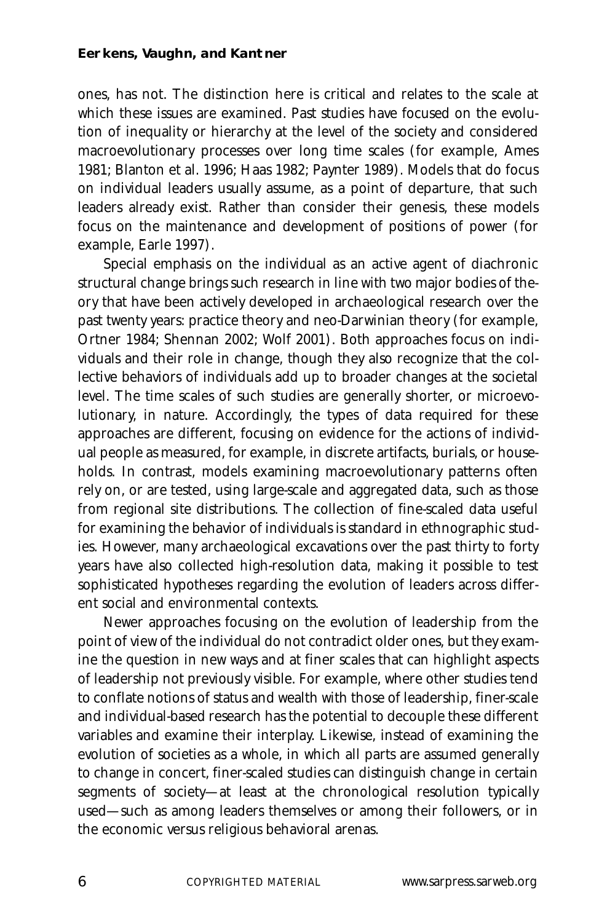ones, has not. The distinction here is critical and relates to the scale at which these issues are examined. Past studies have focused on the evolution of inequality or hierarchy at the level of the society and considered macroevolutionary processes over long time scales (for example, Ames 1981; Blanton et al. 1996; Haas 1982; Paynter 1989). Models that do focus on individual leaders usually assume, as a point of departure, that such leaders already exist. Rather than consider their genesis, these models focus on the maintenance and development of positions of power (for example, Earle 1997).

Special emphasis on the individual as an active agent of diachronic structural change brings such research in line with two major bodies of theory that have been actively developed in archaeological research over the past twenty years: practice theory and neo-Darwinian theory (for example, Ortner 1984; Shennan 2002; Wolf 2001). Both approaches focus on individuals and their role in change, though they also recognize that the collective behaviors of individuals add up to broader changes at the societal level. The time scales of such studies are generally shorter, or microevolutionary, in nature. Accordingly, the types of data required for these approaches are different, focusing on evidence for the actions of individual people as measured, for example, in discrete artifacts, burials, or households. In contrast, models examining macroevolutionary patterns often rely on, or are tested, using large-scale and aggregated data, such as those from regional site distributions. The collection of fine-scaled data useful for examining the behavior of individuals is standard in ethnographic studies. However, many archaeological excavations over the past thirty to forty years have also collected high-resolution data, making it possible to test sophisticated hypotheses regarding the evolution of leaders across different social and environmental contexts.

Newer approaches focusing on the evolution of leadership from the point of view of the individual do not contradict older ones, but they examine the question in new ways and at finer scales that can highlight aspects of leadership not previously visible. For example, where other studies tend to conflate notions of status and wealth with those of leadership, finer-scale and individual-based research has the potential to decouple these different variables and examine their interplay. Likewise, instead of examining the evolution of societies as a whole, in which all parts are assumed generally to change in concert, finer-scaled studies can distinguish change in certain segments of society—at least at the chronological resolution typically used—such as among leaders themselves or among their followers, or in the economic versus religious behavioral arenas.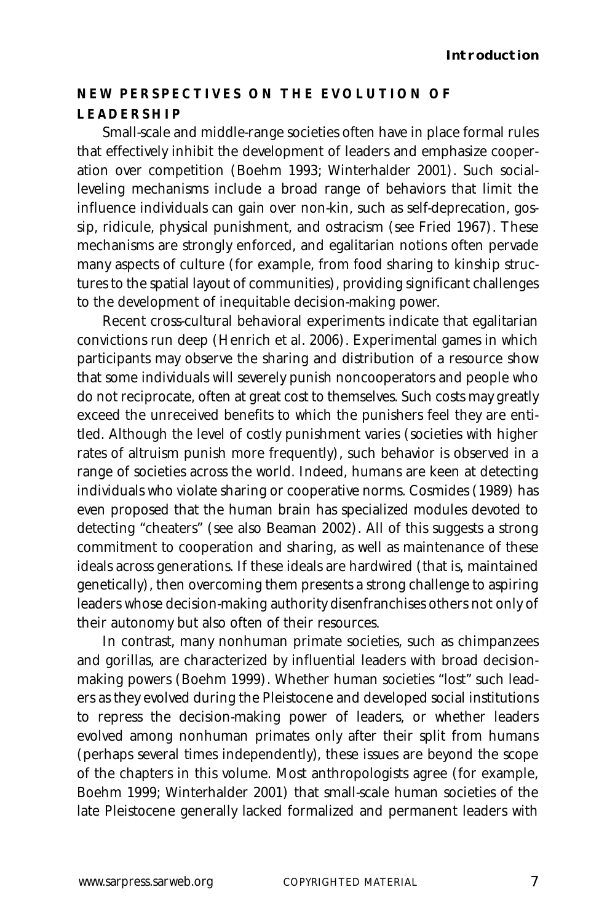# **NEW PERSPECTIVES ON THE EVOLUTION OF LEADERSHIP**

Small-scale and middle-range societies often have in place formal rules that effectively inhibit the development of leaders and emphasize cooperation over competition (Boehm 1993; Winterhalder 2001). Such socialleveling mechanisms include a broad range of behaviors that limit the influence individuals can gain over non-kin, such as self-deprecation, gossip, ridicule, physical punishment, and ostracism (see Fried 1967). These mechanisms are strongly enforced, and egalitarian notions often pervade many aspects of culture (for example, from food sharing to kinship structures to the spatial layout of communities), providing significant challenges to the development of inequitable decision-making power.

Recent cross-cultural behavioral experiments indicate that egalitarian convictions run deep (Henrich et al. 2006). Experimental games in which participants may observe the sharing and distribution of a resource show that some individuals will severely punish noncooperators and people who do not reciprocate, often at great cost to themselves. Such costs may greatly exceed the unreceived benefits to which the punishers feel they are entitled. Although the level of costly punishment varies (societies with higher rates of altruism punish more frequently), such behavior is observed in a range of societies across the world. Indeed, humans are keen at detecting individuals who violate sharing or cooperative norms. Cosmides (1989) has even proposed that the human brain has specialized modules devoted to detecting "cheaters" (see also Beaman 2002). All of this suggests a strong commitment to cooperation and sharing, as well as maintenance of these ideals across generations. If these ideals are hardwired (that is, maintained genetically), then overcoming them presents a strong challenge to aspiring leaders whose decision-making authority disenfranchises others not only of their autonomy but also often of their resources.

In contrast, many nonhuman primate societies, such as chimpanzees and gorillas, are characterized by influential leaders with broad decisionmaking powers (Boehm 1999). Whether human societies "lost" such leaders as they evolved during the Pleistocene and developed social institutions to repress the decision-making power of leaders, or whether leaders evolved among nonhuman primates only after their split from humans (perhaps several times independently), these issues are beyond the scope of the chapters in this volume. Most anthropologists agree (for example, Boehm 1999; Winterhalder 2001) that small-scale human societies of the late Pleistocene generally lacked formalized and permanent leaders with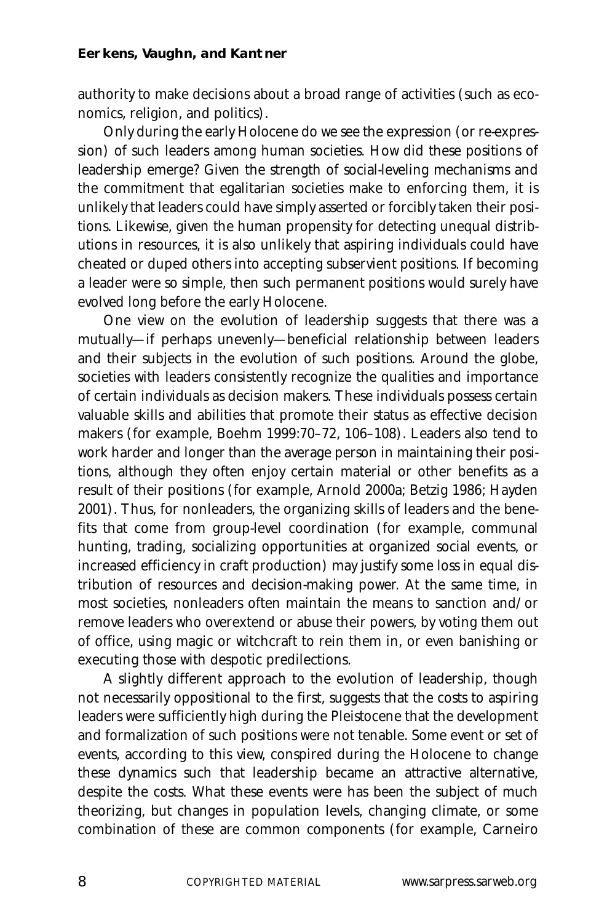authority to make decisions about a broad range of activities (such as economics, religion, and politics).

Only during the early Holocene do we see the expression (or re-expression) of such leaders among human societies. How did these positions of leadership emerge? Given the strength of social-leveling mechanisms and the commitment that egalitarian societies make to enforcing them, it is unlikely that leaders could have simply asserted or forcibly taken their positions. Likewise, given the human propensity for detecting unequal distributions in resources, it is also unlikely that aspiring individuals could have cheated or duped others into accepting subservient positions. If becoming a leader were so simple, then such permanent positions would surely have evolved long before the early Holocene.

One view on the evolution of leadership suggests that there was a mutually—if perhaps unevenly—beneficial relationship between leaders and their subjects in the evolution of such positions. Around the globe, societies with leaders consistently recognize the qualities and importance of certain individuals as decision makers. These individuals possess certain valuable skills and abilities that promote their status as effective decision makers (for example, Boehm 1999:70–72, 106–108). Leaders also tend to work harder and longer than the average person in maintaining their positions, although they often enjoy certain material or other benefits as a result of their positions (for example, Arnold 2000a; Betzig 1986; Hayden 2001). Thus, for nonleaders, the organizing skills of leaders and the benefits that come from group-level coordination (for example, communal hunting, trading, socializing opportunities at organized social events, or increased efficiency in craft production) may justify some loss in equal distribution of resources and decision-making power. At the same time, in most societies, nonleaders often maintain the means to sanction and/or remove leaders who overextend or abuse their powers, by voting them out of office, using magic or witchcraft to rein them in, or even banishing or executing those with despotic predilections.

A slightly different approach to the evolution of leadership, though not necessarily oppositional to the first, suggests that the costs to aspiring leaders were sufficiently high during the Pleistocene that the development and formalization of such positions were not tenable. Some event or set of events, according to this view, conspired during the Holocene to change these dynamics such that leadership became an attractive alternative, despite the costs. What these events were has been the subject of much theorizing, but changes in population levels, changing climate, or some combination of these are common components (for example, Carneiro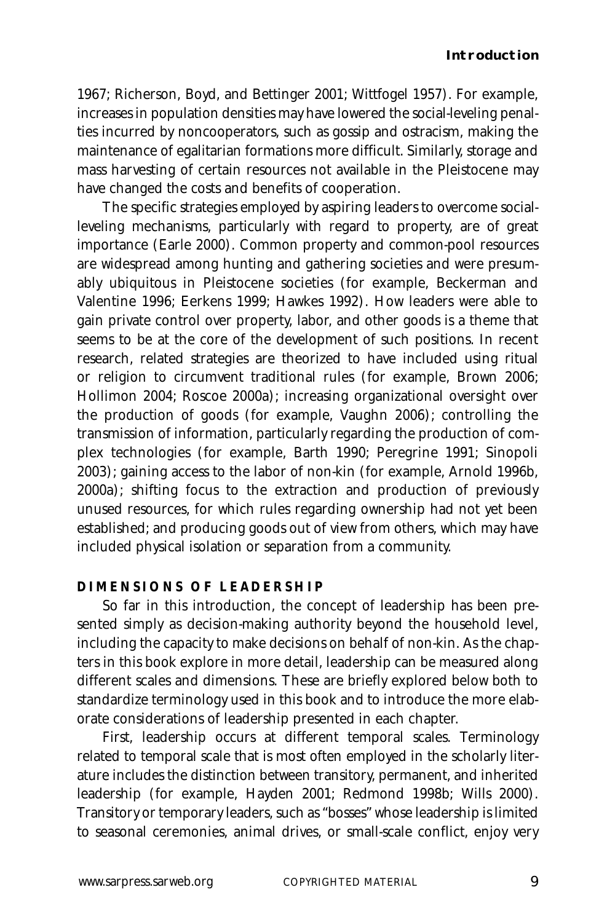1967; Richerson, Boyd, and Bettinger 2001; Wittfogel 1957). For example, increases in population densities may have lowered the social-leveling penalties incurred by noncooperators, such as gossip and ostracism, making the maintenance of egalitarian formations more difficult. Similarly, storage and mass harvesting of certain resources not available in the Pleistocene may have changed the costs and benefits of cooperation.

The specific strategies employed by aspiring leaders to overcome socialleveling mechanisms, particularly with regard to property, are of great importance (Earle 2000). Common property and common-pool resources are widespread among hunting and gathering societies and were presumably ubiquitous in Pleistocene societies (for example, Beckerman and Valentine 1996; Eerkens 1999; Hawkes 1992). How leaders were able to gain private control over property, labor, and other goods is a theme that seems to be at the core of the development of such positions. In recent research, related strategies are theorized to have included using ritual or religion to circumvent traditional rules (for example, Brown 2006; Hollimon 2004; Roscoe 2000a); increasing organizational oversight over the production of goods (for example, Vaughn 2006); controlling the transmission of information, particularly regarding the production of complex technologies (for example, Barth 1990; Peregrine 1991; Sinopoli 2003); gaining access to the labor of non-kin (for example, Arnold 1996b, 2000a); shifting focus to the extraction and production of previously unused resources, for which rules regarding ownership had not yet been established; and producing goods out of view from others, which may have included physical isolation or separation from a community.

#### **DIMENSIONS OF LEADERSHIP**

So far in this introduction, the concept of leadership has been presented simply as decision-making authority beyond the household level, including the capacity to make decisions on behalf of non-kin. As the chapters in this book explore in more detail, leadership can be measured along different scales and dimensions. These are briefly explored below both to standardize terminology used in this book and to introduce the more elaborate considerations of leadership presented in each chapter.

First, leadership occurs at different temporal scales. Terminology related to temporal scale that is most often employed in the scholarly literature includes the distinction between transitory, permanent, and inherited leadership (for example, Hayden 2001; Redmond 1998b; Wills 2000). Transitory or temporary leaders, such as "bosses" whose leadership is limited to seasonal ceremonies, animal drives, or small-scale conflict, enjoy very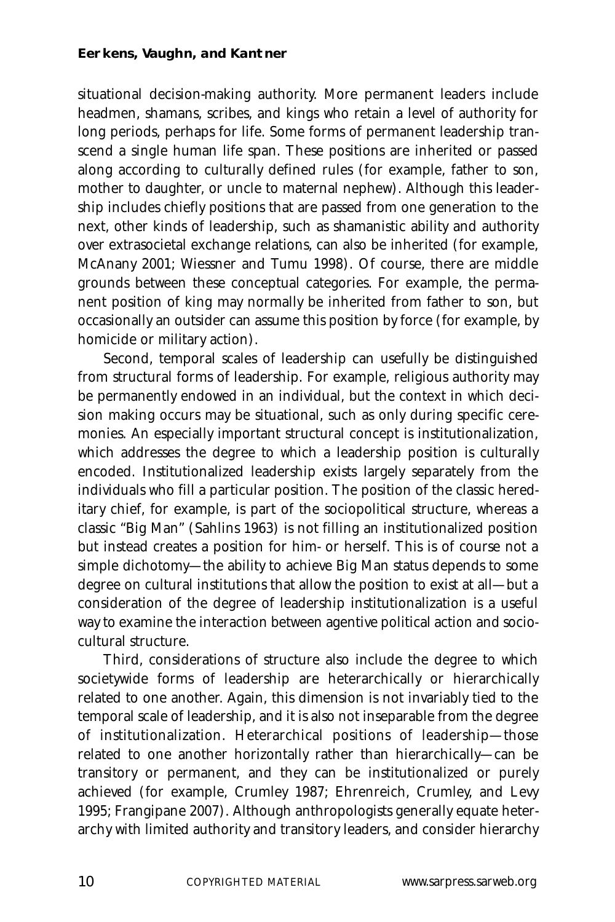situational decision-making authority. More permanent leaders include headmen, shamans, scribes, and kings who retain a level of authority for long periods, perhaps for life. Some forms of permanent leadership transcend a single human life span. These positions are inherited or passed along according to culturally defined rules (for example, father to son, mother to daughter, or uncle to maternal nephew). Although this leadership includes chiefly positions that are passed from one generation to the next, other kinds of leadership, such as shamanistic ability and authority over extrasocietal exchange relations, can also be inherited (for example, McAnany 2001; Wiessner and Tumu 1998). Of course, there are middle grounds between these conceptual categories. For example, the permanent position of king may normally be inherited from father to son, but occasionally an outsider can assume this position by force (for example, by homicide or military action).

Second, temporal scales of leadership can usefully be distinguished from structural forms of leadership. For example, religious authority may be permanently endowed in an individual, but the context in which decision making occurs may be situational, such as only during specific ceremonies. An especially important structural concept is institutionalization, which addresses the degree to which a leadership position is culturally encoded. Institutionalized leadership exists largely separately from the individuals who fill a particular position. The position of the classic hereditary chief, for example, is part of the sociopolitical structure, whereas a classic "Big Man" (Sahlins 1963) is not filling an institutionalized position but instead creates a position for him- or herself. This is of course not a simple dichotomy—the ability to achieve Big Man status depends to some degree on cultural institutions that allow the position to exist at all—but a consideration of the degree of leadership institutionalization is a useful way to examine the interaction between agentive political action and sociocultural structure.

Third, considerations of structure also include the degree to which societywide forms of leadership are heterarchically or hierarchically related to one another. Again, this dimension is not invariably tied to the temporal scale of leadership, and it is also not inseparable from the degree of institutionalization. Heterarchical positions of leadership—those related to one another horizontally rather than hierarchically—can be transitory or permanent, and they can be institutionalized or purely achieved (for example, Crumley 1987; Ehrenreich, Crumley, and Levy 1995; Frangipane 2007). Although anthropologists generally equate heterarchy with limited authority and transitory leaders, and consider hierarchy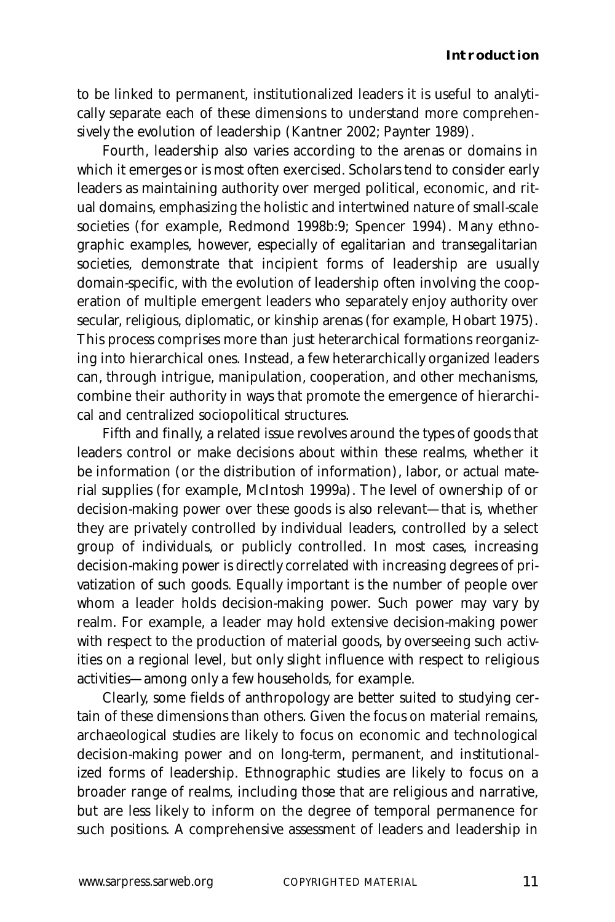to be linked to permanent, institutionalized leaders it is useful to analytically separate each of these dimensions to understand more comprehensively the evolution of leadership (Kantner 2002; Paynter 1989).

Fourth, leadership also varies according to the arenas or domains in which it emerges or is most often exercised. Scholars tend to consider early leaders as maintaining authority over merged political, economic, and ritual domains, emphasizing the holistic and intertwined nature of small-scale societies (for example, Redmond 1998b:9; Spencer 1994). Many ethnographic examples, however, especially of egalitarian and transegalitarian societies, demonstrate that incipient forms of leadership are usually domain-specific, with the evolution of leadership often involving the cooperation of multiple emergent leaders who separately enjoy authority over secular, religious, diplomatic, or kinship arenas (for example, Hobart 1975). This process comprises more than just heterarchical formations reorganizing into hierarchical ones. Instead, a few heterarchically organized leaders can, through intrigue, manipulation, cooperation, and other mechanisms, combine their authority in ways that promote the emergence of hierarchical and centralized sociopolitical structures.

Fifth and finally, a related issue revolves around the types of goods that leaders control or make decisions about within these realms, whether it be information (or the distribution of information), labor, or actual material supplies (for example, McIntosh 1999a). The level of ownership of or decision-making power over these goods is also relevant—that is, whether they are privately controlled by individual leaders, controlled by a select group of individuals, or publicly controlled. In most cases, increasing decision-making power is directly correlated with increasing degrees of privatization of such goods. Equally important is the number of people over whom a leader holds decision-making power. Such power may vary by realm. For example, a leader may hold extensive decision-making power with respect to the production of material goods, by overseeing such activities on a regional level, but only slight influence with respect to religious activities—among only a few households, for example.

Clearly, some fields of anthropology are better suited to studying certain of these dimensions than others. Given the focus on material remains, archaeological studies are likely to focus on economic and technological decision-making power and on long-term, permanent, and institutionalized forms of leadership. Ethnographic studies are likely to focus on a broader range of realms, including those that are religious and narrative, but are less likely to inform on the degree of temporal permanence for such positions. A comprehensive assessment of leaders and leadership in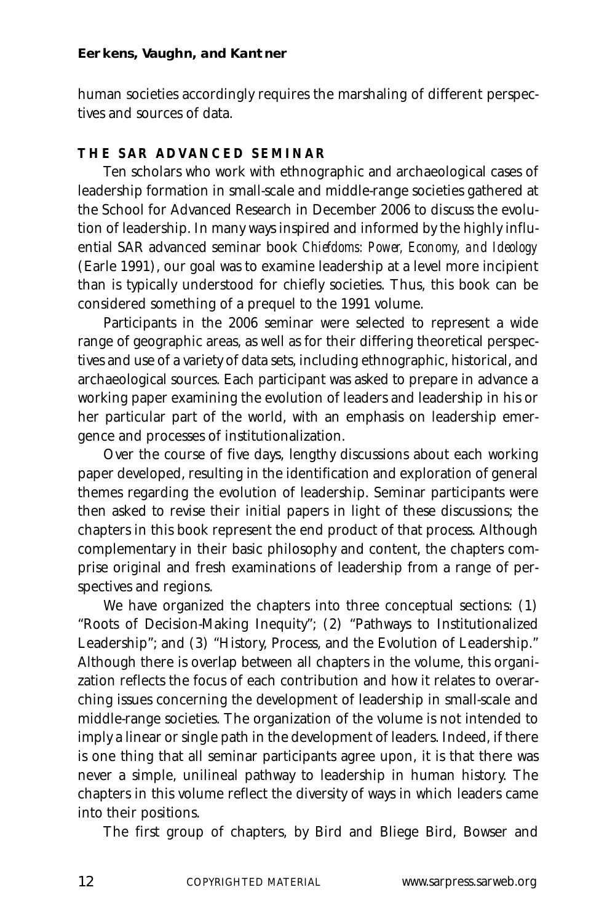human societies accordingly requires the marshaling of different perspectives and sources of data.

### **THE SAR ADVANCED SEMINAR**

Ten scholars who work with ethnographic and archaeological cases of leadership formation in small-scale and middle-range societies gathered at the School for Advanced Research in December 2006 to discuss the evolution of leadership. In many ways inspired and informed by the highly influential SAR advanced seminar book *Chiefdoms: Power, Economy, and Ideology* (Earle 1991), our goal was to examine leadership at a level more incipient than is typically understood for chiefly societies. Thus, this book can be considered something of a prequel to the 1991 volume.

Participants in the 2006 seminar were selected to represent a wide range of geographic areas, as well as for their differing theoretical perspectives and use of a variety of data sets, including ethnographic, historical, and archaeological sources. Each participant was asked to prepare in advance a working paper examining the evolution of leaders and leadership in his or her particular part of the world, with an emphasis on leadership emergence and processes of institutionalization.

Over the course of five days, lengthy discussions about each working paper developed, resulting in the identification and exploration of general themes regarding the evolution of leadership. Seminar participants were then asked to revise their initial papers in light of these discussions; the chapters in this book represent the end product of that process. Although complementary in their basic philosophy and content, the chapters comprise original and fresh examinations of leadership from a range of perspectives and regions.

We have organized the chapters into three conceptual sections: (1) "Roots of Decision-Making Inequity"; (2) "Pathways to Institutionalized Leadership"; and (3) "History, Process, and the Evolution of Leadership." Although there is overlap between all chapters in the volume, this organization reflects the focus of each contribution and how it relates to overarching issues concerning the development of leadership in small-scale and middle-range societies. The organization of the volume is not intended to imply a linear or single path in the development of leaders. Indeed, if there is one thing that all seminar participants agree upon, it is that there was never a simple, unilineal pathway to leadership in human history. The chapters in this volume reflect the diversity of ways in which leaders came into their positions.

The first group of chapters, by Bird and Bliege Bird, Bowser and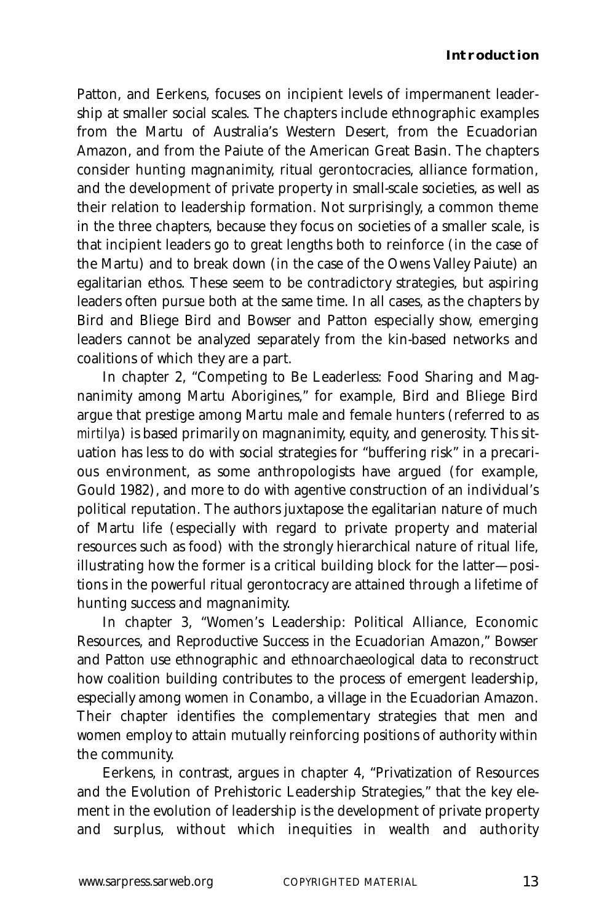Patton, and Eerkens, focuses on incipient levels of impermanent leadership at smaller social scales. The chapters include ethnographic examples from the Martu of Australia's Western Desert, from the Ecuadorian Amazon, and from the Paiute of the American Great Basin. The chapters consider hunting magnanimity, ritual gerontocracies, alliance formation, and the development of private property in small-scale societies, as well as their relation to leadership formation. Not surprisingly, a common theme in the three chapters, because they focus on societies of a smaller scale, is that incipient leaders go to great lengths both to reinforce (in the case of the Martu) and to break down (in the case of the Owens Valley Paiute) an egalitarian ethos. These seem to be contradictory strategies, but aspiring leaders often pursue both at the same time. In all cases, as the chapters by Bird and Bliege Bird and Bowser and Patton especially show, emerging leaders cannot be analyzed separately from the kin-based networks and coalitions of which they are a part.

In chapter 2, "Competing to Be Leaderless: Food Sharing and Magnanimity among Martu Aborigines," for example, Bird and Bliege Bird argue that prestige among Martu male and female hunters (referred to as *mirtilya*) is based primarily on magnanimity, equity, and generosity. This situation has less to do with social strategies for "buffering risk" in a precarious environment, as some anthropologists have argued (for example, Gould 1982), and more to do with agentive construction of an individual's political reputation. The authors juxtapose the egalitarian nature of much of Martu life (especially with regard to private property and material resources such as food) with the strongly hierarchical nature of ritual life, illustrating how the former is a critical building block for the latter—positions in the powerful ritual gerontocracy are attained through a lifetime of hunting success and magnanimity.

In chapter 3, "Women's Leadership: Political Alliance, Economic Resources, and Reproductive Success in the Ecuadorian Amazon," Bowser and Patton use ethnographic and ethnoarchaeological data to reconstruct how coalition building contributes to the process of emergent leadership, especially among women in Conambo, a village in the Ecuadorian Amazon. Their chapter identifies the complementary strategies that men and women employ to attain mutually reinforcing positions of authority within the community.

Eerkens, in contrast, argues in chapter 4, "Privatization of Resources and the Evolution of Prehistoric Leadership Strategies," that the key element in the evolution of leadership is the development of private property and surplus, without which inequities in wealth and authority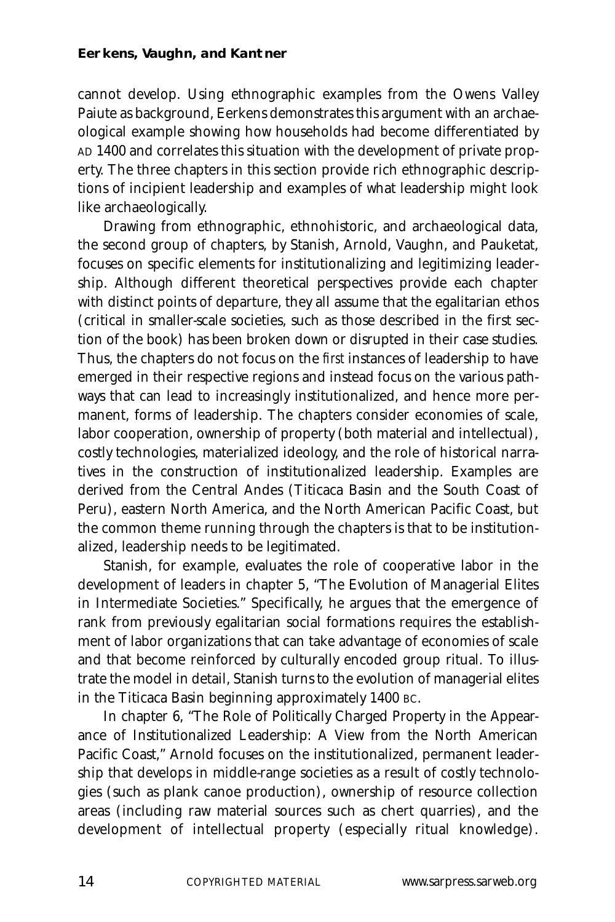cannot develop. Using ethnographic examples from the Owens Valley Paiute as background, Eerkens demonstrates this argument with an archaeological example showing how households had become differentiated by AD 1400 and correlates this situation with the development of private property. The three chapters in this section provide rich ethnographic descriptions of incipient leadership and examples of what leadership might look like archaeologically.

Drawing from ethnographic, ethnohistoric, and archaeological data, the second group of chapters, by Stanish, Arnold, Vaughn, and Pauketat, focuses on specific elements for institutionalizing and legitimizing leadership. Although different theoretical perspectives provide each chapter with distinct points of departure, they all assume that the egalitarian ethos (critical in smaller-scale societies, such as those described in the first section of the book) has been broken down or disrupted in their case studies. Thus, the chapters do not focus on the *first* instances of leadership to have emerged in their respective regions and instead focus on the various pathways that can lead to increasingly institutionalized, and hence more permanent, forms of leadership. The chapters consider economies of scale, labor cooperation, ownership of property (both material and intellectual), costly technologies, materialized ideology, and the role of historical narratives in the construction of institutionalized leadership. Examples are derived from the Central Andes (Titicaca Basin and the South Coast of Peru), eastern North America, and the North American Pacific Coast, but the common theme running through the chapters is that to be institutionalized, leadership needs to be legitimated.

Stanish, for example, evaluates the role of cooperative labor in the development of leaders in chapter 5, "The Evolution of Managerial Elites in Intermediate Societies." Specifically, he argues that the emergence of rank from previously egalitarian social formations requires the establishment of labor organizations that can take advantage of economies of scale and that become reinforced by culturally encoded group ritual. To illustrate the model in detail, Stanish turns to the evolution of managerial elites in the Titicaca Basin beginning approximately 1400 BC.

In chapter 6, "The Role of Politically Charged Property in the Appearance of Institutionalized Leadership: A View from the North American Pacific Coast," Arnold focuses on the institutionalized, permanent leadership that develops in middle-range societies as a result of costly technologies (such as plank canoe production), ownership of resource collection areas (including raw material sources such as chert quarries), and the development of intellectual property (especially ritual knowledge).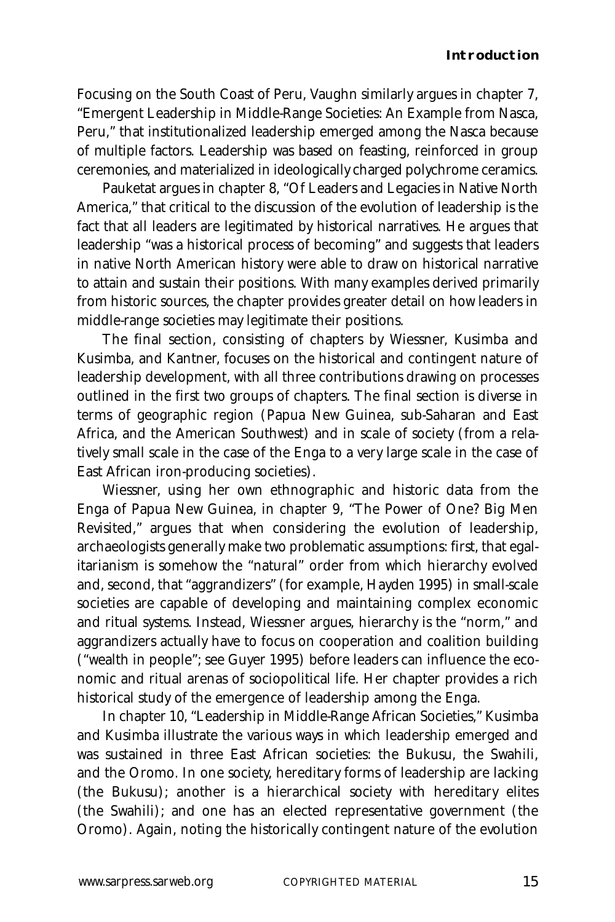Focusing on the South Coast of Peru, Vaughn similarly argues in chapter 7, "Emergent Leadership in Middle-Range Societies: An Example from Nasca, Peru," that institutionalized leadership emerged among the Nasca because of multiple factors. Leadership was based on feasting, reinforced in group ceremonies, and materialized in ideologically charged polychrome ceramics.

Pauketat argues in chapter 8, "Of Leaders and Legacies in Native North America," that critical to the discussion of the evolution of leadership is the fact that all leaders are legitimated by historical narratives. He argues that leadership "was a historical process of becoming" and suggests that leaders in native North American history were able to draw on historical narrative to attain and sustain their positions. With many examples derived primarily from historic sources, the chapter provides greater detail on how leaders in middle-range societies may legitimate their positions.

The final section, consisting of chapters by Wiessner, Kusimba and Kusimba, and Kantner, focuses on the historical and contingent nature of leadership development, with all three contributions drawing on processes outlined in the first two groups of chapters. The final section is diverse in terms of geographic region (Papua New Guinea, sub-Saharan and East Africa, and the American Southwest) and in scale of society (from a relatively small scale in the case of the Enga to a very large scale in the case of East African iron-producing societies).

Wiessner, using her own ethnographic and historic data from the Enga of Papua New Guinea, in chapter 9, "The Power of One? Big Men Revisited," argues that when considering the evolution of leadership, archaeologists generally make two problematic assumptions: first, that egalitarianism is somehow the "natural" order from which hierarchy evolved and, second, that "aggrandizers" (for example, Hayden 1995) in small-scale societies are capable of developing and maintaining complex economic and ritual systems. Instead, Wiessner argues, hierarchy is the "norm," and aggrandizers actually have to focus on cooperation and coalition building ("wealth in people"; see Guyer 1995) before leaders can influence the economic and ritual arenas of sociopolitical life. Her chapter provides a rich historical study of the emergence of leadership among the Enga.

In chapter 10, "Leadership in Middle-Range African Societies," Kusimba and Kusimba illustrate the various ways in which leadership emerged and was sustained in three East African societies: the Bukusu, the Swahili, and the Oromo. In one society, hereditary forms of leadership are lacking (the Bukusu); another is a hierarchical society with hereditary elites (the Swahili); and one has an elected representative government (the Oromo). Again, noting the historically contingent nature of the evolution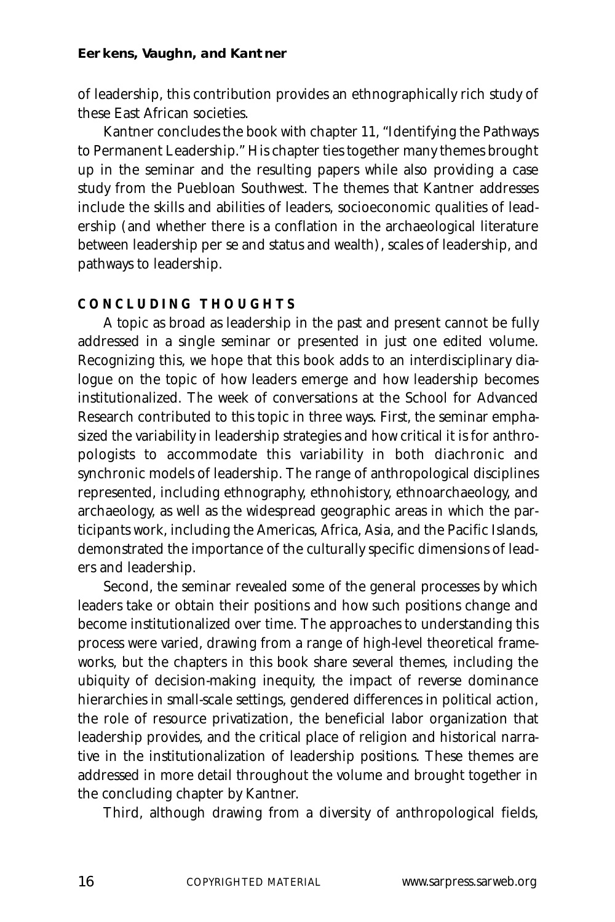of leadership, this contribution provides an ethnographically rich study of these East African societies.

Kantner concludes the book with chapter 11, "Identifying the Pathways to Permanent Leadership." His chapter ties together many themes brought up in the seminar and the resulting papers while also providing a case study from the Puebloan Southwest. The themes that Kantner addresses include the skills and abilities of leaders, socioeconomic qualities of leadership (and whether there is a conflation in the archaeological literature between leadership per se and status and wealth), scales of leadership, and pathways to leadership.

## **CONCLUDING THOUGHTS**

A topic as broad as leadership in the past and present cannot be fully addressed in a single seminar or presented in just one edited volume. Recognizing this, we hope that this book adds to an interdisciplinary dialogue on the topic of how leaders emerge and how leadership becomes institutionalized. The week of conversations at the School for Advanced Research contributed to this topic in three ways. First, the seminar emphasized the variability in leadership strategies and how critical it is for anthropologists to accommodate this variability in both diachronic and synchronic models of leadership. The range of anthropological disciplines represented, including ethnography, ethnohistory, ethnoarchaeology, and archaeology, as well as the widespread geographic areas in which the participants work, including the Americas, Africa, Asia, and the Pacific Islands, demonstrated the importance of the culturally specific dimensions of leaders and leadership.

Second, the seminar revealed some of the general processes by which leaders take or obtain their positions and how such positions change and become institutionalized over time. The approaches to understanding this process were varied, drawing from a range of high-level theoretical frameworks, but the chapters in this book share several themes, including the ubiquity of decision-making inequity, the impact of reverse dominance hierarchies in small-scale settings, gendered differences in political action, the role of resource privatization, the beneficial labor organization that leadership provides, and the critical place of religion and historical narrative in the institutionalization of leadership positions. These themes are addressed in more detail throughout the volume and brought together in the concluding chapter by Kantner.

Third, although drawing from a diversity of anthropological fields,